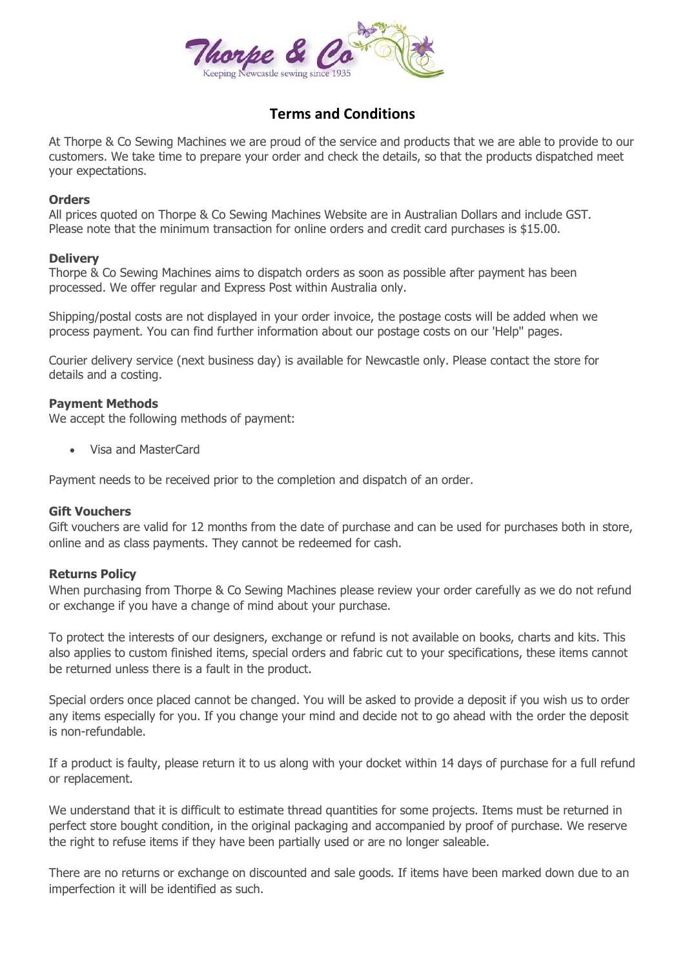

# **Terms and Conditions**

At Thorpe & Co Sewing Machines we are proud of the service and products that we are able to provide to our customers. We take time to prepare your order and check the details, so that the products dispatched meet your expectations.

## **Orders**

All prices quoted on Thorpe & Co Sewing Machines Website are in Australian Dollars and include GST. Please note that the minimum transaction for online orders and credit card purchases is \$15.00.

## **Delivery**

Thorpe & Co Sewing Machines aims to dispatch orders as soon as possible after payment has been processed. We offer regular and Express Post within Australia only.

Shipping/postal costs are not displayed in your order invoice, the postage costs will be added when we process payment. You can find further information about our postage costs on our 'Help'' pages.

Courier delivery service (next business day) is available for Newcastle only. Please contact the store for details and a costing.

## **Payment Methods**

We accept the following methods of payment:

Visa and MasterCard

Payment needs to be received prior to the completion and dispatch of an order.

#### **Gift Vouchers**

Gift vouchers are valid for 12 months from the date of purchase and can be used for purchases both in store, online and as class payments. They cannot be redeemed for cash.

# **Returns Policy**

When purchasing from Thorpe & Co Sewing Machines please review your order carefully as we do not refund or exchange if you have a change of mind about your purchase.

To protect the interests of our designers, exchange or refund is not available on books, charts and kits. This also applies to custom finished items, special orders and fabric cut to your specifications, these items cannot be returned unless there is a fault in the product.

Special orders once placed cannot be changed. You will be asked to provide a deposit if you wish us to order any items especially for you. If you change your mind and decide not to go ahead with the order the deposit is non-refundable.

If a product is faulty, please return it to us along with your docket within 14 days of purchase for a full refund or replacement.

We understand that it is difficult to estimate thread quantities for some projects. Items must be returned in perfect store bought condition, in the original packaging and accompanied by proof of purchase. We reserve the right to refuse items if they have been partially used or are no longer saleable.

There are no returns or exchange on discounted and sale goods. If items have been marked down due to an imperfection it will be identified as such.